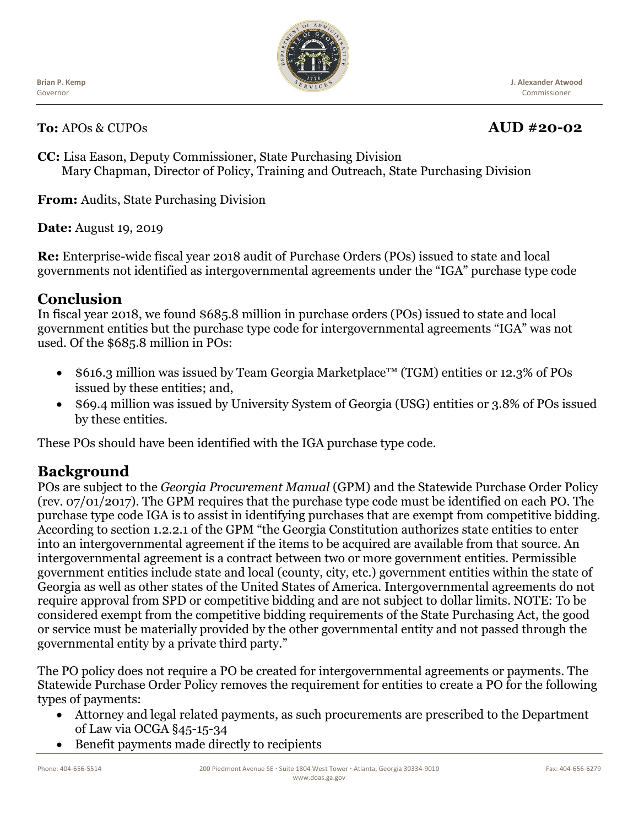Ĭ **Brian P. Kemp** Governor



**J. Alexander Atwood** Commissioner

#### **To:** APOs & CUPOs **AUD #20-02**

**CC:** Lisa Eason, Deputy Commissioner, State Purchasing Division Mary Chapman, Director of Policy, Training and Outreach, State Purchasing Division

**From:** Audits, State Purchasing Division

**Date:** August 19, 2019

**Re:** Enterprise-wide fiscal year 2018 audit of Purchase Orders (POs) issued to state and local governments not identified as intergovernmental agreements under the "IGA" purchase type code

#### **Conclusion**

In fiscal year 2018, we found \$685.8 million in purchase orders (POs) issued to state and local government entities but the purchase type code for intergovernmental agreements "IGA" was not used. Of the \$685.8 million in POs:

- \$616.3 million was issued by Team Georgia Marketplace™ (TGM) entities or 12.3% of POs issued by these entities; and,
- \$69.4 million was issued by University System of Georgia (USG) entities or 3.8% of POs issued by these entities.

These POs should have been identified with the IGA purchase type code.

## **Background**

POs are subject to the *Georgia Procurement Manual* (GPM) and the Statewide Purchase Order Policy (rev. 07/01/2017). The GPM requires that the purchase type code must be identified on each PO. The purchase type code IGA is to assist in identifying purchases that are exempt from competitive bidding. According to section 1.2.2.1 of the GPM "the Georgia Constitution authorizes state entities to enter into an intergovernmental agreement if the items to be acquired are available from that source. An intergovernmental agreement is a contract between two or more government entities. Permissible government entities include state and local (county, city, etc.) government entities within the state of Georgia as well as other states of the United States of America. Intergovernmental agreements do not require approval from SPD or competitive bidding and are not subject to dollar limits. NOTE: To be considered exempt from the competitive bidding requirements of the State Purchasing Act, the good or service must be materially provided by the other governmental entity and not passed through the governmental entity by a private third party."

The PO policy does not require a PO be created for intergovernmental agreements or payments. The Statewide Purchase Order Policy removes the requirement for entities to create a PO for the following types of payments:

- Attorney and legal related payments, as such procurements are prescribed to the Department of Law via OCGA §45-15-34
- Benefit payments made directly to recipients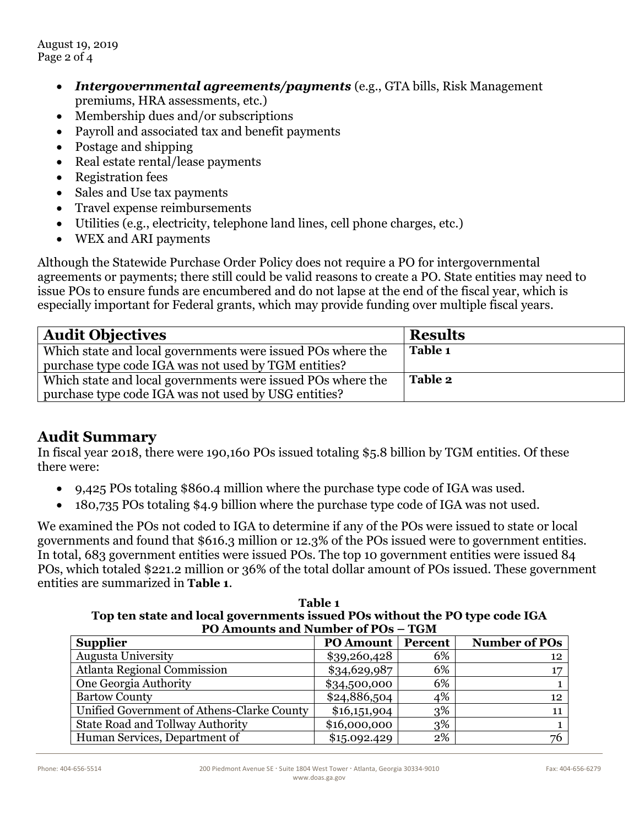August 19, 2019 Page 2 of 4

- *Intergovernmental agreements/payments* (e.g., GTA bills, Risk Management premiums, HRA assessments, etc.)
- Membership dues and/or subscriptions
- Payroll and associated tax and benefit payments
- Postage and shipping
- Real estate rental/lease payments
- Registration fees
- Sales and Use tax payments
- Travel expense reimbursements
- Utilities (e.g., electricity, telephone land lines, cell phone charges, etc.)
- WEX and ARI payments

Although the Statewide Purchase Order Policy does not require a PO for intergovernmental agreements or payments; there still could be valid reasons to create a PO. State entities may need to issue POs to ensure funds are encumbered and do not lapse at the end of the fiscal year, which is especially important for Federal grants, which may provide funding over multiple fiscal years.

| <b>Audit Objectives</b>                                                                                             | <b>Results</b> |
|---------------------------------------------------------------------------------------------------------------------|----------------|
| Which state and local governments were issued POs where the<br>purchase type code IGA was not used by TGM entities? | Table 1        |
| Which state and local governments were issued POs where the                                                         | Table 2        |
| purchase type code IGA was not used by USG entities?                                                                |                |

## **Audit Summary**

In fiscal year 2018, there were 190,160 POs issued totaling \$5.8 billion by TGM entities. Of these there were:

- 9,425 POs totaling \$860.4 million where the purchase type code of IGA was used.
- 180,735 POs totaling \$4.9 billion where the purchase type code of IGA was not used.

We examined the POs not coded to IGA to determine if any of the POs were issued to state or local governments and found that \$616.3 million or 12.3% of the POs issued were to government entities. In total, 683 government entities were issued POs. The top 10 government entities were issued 84 POs, which totaled \$221.2 million or 36% of the total dollar amount of POs issued. These government entities are summarized in **Table 1**.

**Table 1 Top ten state and local governments issued POs without the PO type code IGA PO Amounts and Number of POs – TGM** 

| <b>Supplier</b>                            | <b>PO Amount</b> | Percent | <b>Number of POs</b> |
|--------------------------------------------|------------------|---------|----------------------|
| <b>Augusta University</b>                  | \$39,260,428     | 6%      | 12                   |
| <b>Atlanta Regional Commission</b>         | \$34,629,987     | 6%      |                      |
| One Georgia Authority                      | \$34,500,000     | 6%      |                      |
| <b>Bartow County</b>                       | \$24,886,504     | 4%      | 12                   |
| Unified Government of Athens-Clarke County | \$16,151,904     | 3%      |                      |
| <b>State Road and Tollway Authority</b>    | \$16,000,000     | 3%      |                      |
| Human Services, Department of              | \$15.092.429     | 2%      | 76                   |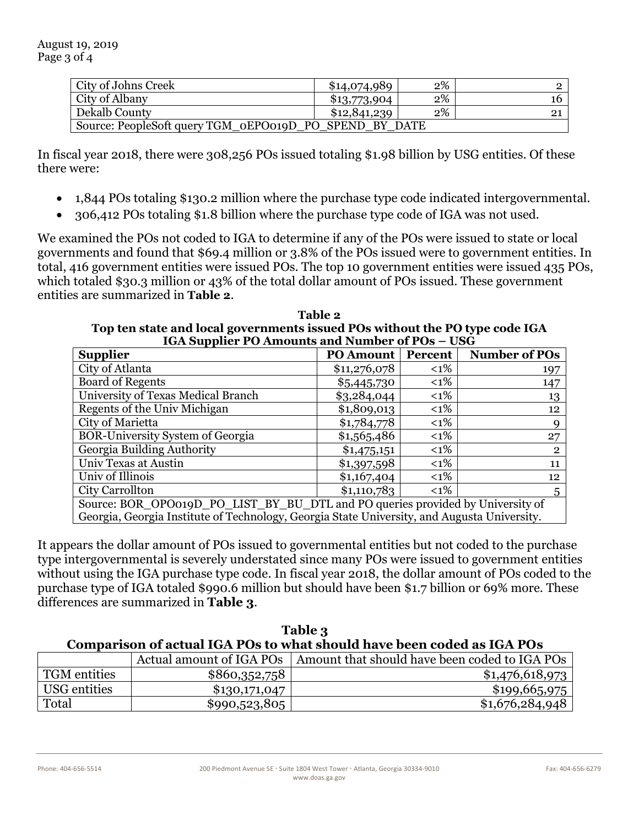| City of Johns Creek                                    | \$14,074,989 | 2% |    |
|--------------------------------------------------------|--------------|----|----|
| City of Albany                                         | \$13,773,904 | 2% | 16 |
| Dekalb County                                          | \$12,841,239 | 2% |    |
| Source: PeopleSoft query TGM_oEPO019D_PO_SPEND_BY_DATE |              |    |    |

In fiscal year 2018, there were 308,256 POs issued totaling \$1.98 billion by USG entities. Of these there were:

- 1,844 POs totaling \$130.2 million where the purchase type code indicated intergovernmental.
- 306,412 POs totaling \$1.8 billion where the purchase type code of IGA was not used.

We examined the POs not coded to IGA to determine if any of the POs were issued to state or local governments and found that \$69.4 million or 3.8% of the POs issued were to government entities. In total, 416 government entities were issued POs. The top 10 government entities were issued 435 POs, which totaled \$30.3 million or 43% of the total dollar amount of POs issued. These government entities are summarized in **Table 2**.

**Table 2 Top ten state and local governments issued POs without the PO type code IGA IGA Supplier PO Amounts and Number of POs – USG** 

| <b>Supplier</b>                                                                             | <b>PO Amount</b> | Percent | <b>Number of POs</b> |
|---------------------------------------------------------------------------------------------|------------------|---------|----------------------|
| City of Atlanta                                                                             | \$11,276,078     | $<$ 1%  | 197                  |
| <b>Board of Regents</b>                                                                     | \$5,445,730      | $<$ 1%  | 147                  |
| University of Texas Medical Branch                                                          | \$3,284,044      | $<$ 1%  | 13                   |
| Regents of the Univ Michigan                                                                | \$1,809,013      | $<$ 1%  | 12                   |
| City of Marietta                                                                            | \$1,784,778      | $<$ 1%  | 9                    |
| <b>BOR-University System of Georgia</b>                                                     | \$1,565,486      | $<$ 1%  | 27                   |
| Georgia Building Authority                                                                  | \$1,475,151      | $<1\%$  | $\overline{2}$       |
| Univ Texas at Austin                                                                        | \$1,397,598      | $<$ 1%  | 11                   |
| Univ of Illinois                                                                            | \$1,167,404      | $<$ 1%  | 12                   |
| City Carrollton                                                                             | \$1,110,783      | $<1\%$  | 5                    |
| Source: BOR_OPO019D_PO_LIST_BY_BU_DTL and PO queries provided by University of              |                  |         |                      |
| Georgia, Georgia Institute of Technology, Georgia State University, and Augusta University. |                  |         |                      |

It appears the dollar amount of POs issued to governmental entities but not coded to the purchase type intergovernmental is severely understated since many POs were issued to government entities without using the IGA purchase type code. In fiscal year 2018, the dollar amount of POs coded to the purchase type of IGA totaled \$990.6 million but should have been \$1.7 billion or 69% more. These differences are summarized in **Table 3**.

| Table 3                                                                       |               |                                                                          |  |
|-------------------------------------------------------------------------------|---------------|--------------------------------------------------------------------------|--|
| <b>Comparison of actual IGA POs to what should have been coded as IGA POs</b> |               |                                                                          |  |
|                                                                               |               | Actual amount of IGA POs   Amount that should have been coded to IGA POs |  |
| <b>TGM</b> entities                                                           | \$860,352,758 | \$1,476,618,973                                                          |  |
| USG entities                                                                  | \$130,171,047 | \$199,665,975                                                            |  |
| Total                                                                         | \$990,523,805 | \$1,676,284,948                                                          |  |